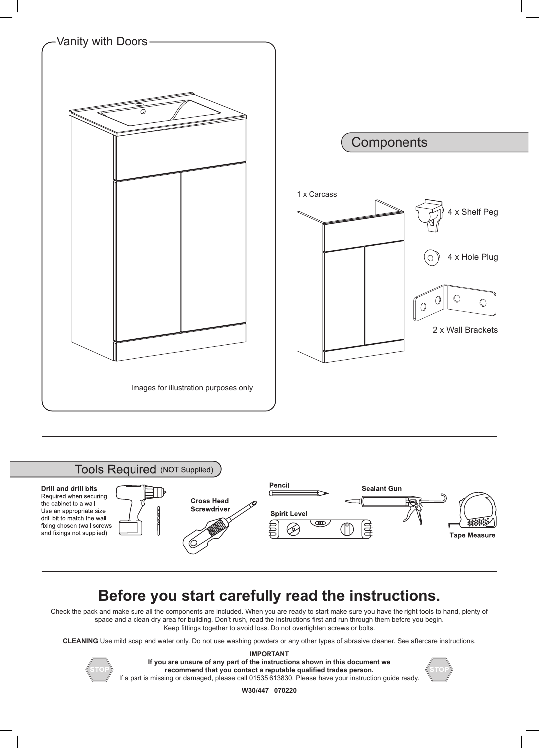



## **Before you start carefully read the instructions.**

Check the pack and make sure all the components are included. When you are ready to start make sure you have the right tools to hand, plenty of space and a clean dry area for building. Don't rush, read the instructions first and run through them before you begin. Keep fittings together to avoid loss. Do not overtighten screws or bolts.

**CLEANING** Use mild soap and water only. Do not use washing powders or any other types of abrasive cleaner. See aftercare instructions.



**IMPORTANT If you are unsure of any part of the instructions shown in this document we recommend that you contact a reputable qualified trades person.** If a part is missing or damaged, please call 01535 613830. Please have your instruction guide ready.

**W30/447 070220**